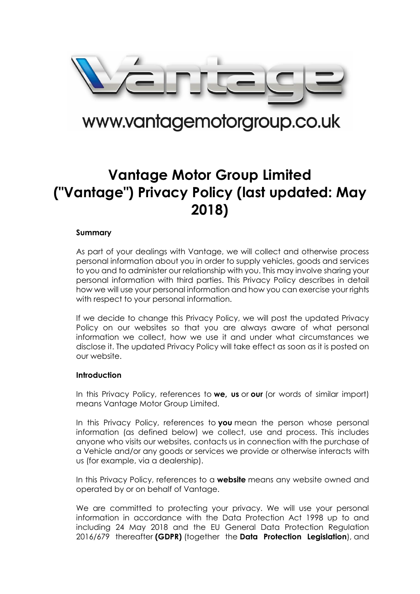

# www.vantagemotorgroup.co.uk

# **Vantage Motor Group Limited ("Vantage") Privacy Policy (last updated: May 2018)**

# **Summary**

As part of your dealings with Vantage, we will collect and otherwise process personal information about you in order to supply vehicles, goods and services to you and to administer our relationship with you. This may involve sharing your personal information with third parties. This Privacy Policy describes in detail how we will use your personal information and how you can exercise your rights with respect to your personal information.

If we decide to change this Privacy Policy, we will post the updated Privacy Policy on our websites so that you are always aware of what personal information we collect, how we use it and under what circumstances we disclose it. The updated Privacy Policy will take effect as soon as it is posted on our website.

# **Introduction**

In this Privacy Policy, references to **we, us** or **our** (or words of similar import) means Vantage Motor Group Limited.

In this Privacy Policy, references to **you** mean the person whose personal information (as defined below) we collect, use and process. This includes anyone who visits our websites, contacts us in connection with the purchase of a Vehicle and/or any goods or services we provide or otherwise interacts with us (for example, via a dealership).

In this Privacy Policy, references to a **website** means any website owned and operated by or on behalf of Vantage.

We are committed to protecting your privacy. We will use your personal information in accordance with the Data Protection Act 1998 up to and including 24 May 2018 and the EU General Data Protection Regulation 2016/679 thereafter **(GDPR)** (together the **Data Protection Legislation**), and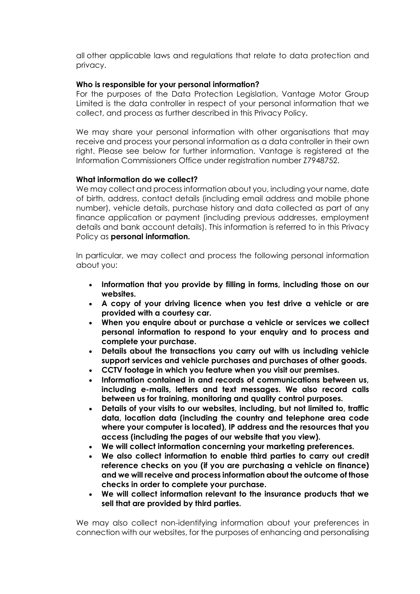all other applicable laws and regulations that relate to data protection and privacy.

# **Who is responsible for your personal information?**

For the purposes of the Data Protection Legislation, Vantage Motor Group Limited is the data controller in respect of your personal information that we collect, and process as further described in this Privacy Policy.

We may share your personal information with other organisations that may receive and process your personal information as a data controller in their own right. Please see below for further information. Vantage is registered at the Information Commissioners Office under registration number Z7948752.

# **What information do we collect?**

We may collect and process information about you, including your name, date of birth, address, contact details (including email address and mobile phone number), vehicle details, purchase history and data collected as part of any finance application or payment (including previous addresses, employment details and bank account details). This information is referred to in this Privacy Policy as **personal information.**

In particular, we may collect and process the following personal information about you:

- **Information that you provide by filling in forms, including those on our websites.**
- **A copy of your driving licence when you test drive a vehicle or are provided with a courtesy car.**
- **When you enquire about or purchase a vehicle or services we collect personal information to respond to your enquiry and to process and complete your purchase.**
- **Details about the transactions you carry out with us including vehicle support services and vehicle purchases and purchases of other goods.**
- **CCTV footage in which you feature when you visit our premises.**
- **Information contained in and records of communications between us, including e-mails, letters and text messages. We also record calls between us for training, monitoring and quality control purposes.**
- **Details of your visits to our websites, including, but not limited to, traffic data, location data (including the country and telephone area code where your computer is located), IP address and the resources that you access (including the pages of our website that you view).**
- **We will collect information concerning your marketing preferences.**
- **We also collect information to enable third parties to carry out credit reference checks on you (if you are purchasing a vehicle on finance) and we will receive and process information about the outcome of those checks in order to complete your purchase.**
- **We will collect information relevant to the insurance products that we sell that are provided by third parties.**

We may also collect non-identifying information about your preferences in connection with our websites, for the purposes of enhancing and personalising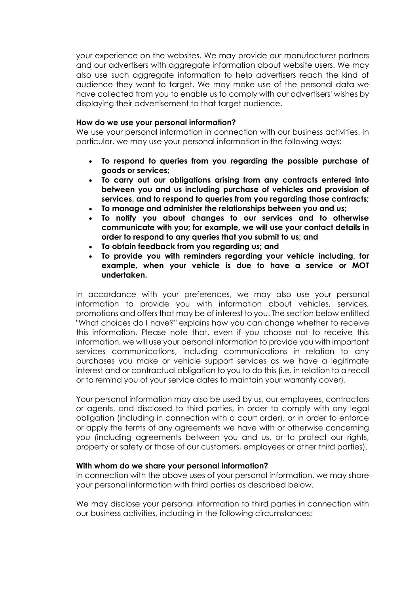your experience on the websites. We may provide our manufacturer partners and our advertisers with aggregate information about website users. We may also use such aggregate information to help advertisers reach the kind of audience they want to target. We may make use of the personal data we have collected from you to enable us to comply with our advertisers' wishes by displaying their advertisement to that target audience.

# **How do we use your personal information?**

We use your personal information in connection with our business activities. In particular, we may use your personal information in the following ways:

- **To respond to queries from you regarding the possible purchase of goods or services;**
- **To carry out our obligations arising from any contracts entered into between you and us including purchase of vehicles and provision of services, and to respond to queries from you regarding those contracts;**
- **To manage and administer the relationships between you and us;**
- **To notify you about changes to our services and to otherwise communicate with you; for example, we will use your contact details in order to respond to any queries that you submit to us; and**
- **To obtain feedback from you regarding us; and**
- **To provide you with reminders regarding your vehicle including, for example, when your vehicle is due to have a service or MOT undertaken.**

In accordance with your preferences, we may also use your personal information to provide you with information about vehicles, services, promotions and offers that may be of interest to you. The section below entitled "What choices do I have?" explains how you can change whether to receive this information. Please note that, even if you choose not to receive this information, we will use your personal information to provide you with important services communications, including communications in relation to any purchases you make or vehicle support services as we have a legitimate interest and or contractual obligation to you to do this (i.e. in relation to a recall or to remind you of your service dates to maintain your warranty cover).

Your personal information may also be used by us, our employees, contractors or agents, and disclosed to third parties, in order to comply with any legal obligation (including in connection with a court order), or in order to enforce or apply the terms of any agreements we have with or otherwise concerning you (including agreements between you and us, or to protect our rights, property or safety or those of our customers, employees or other third parties).

# **With whom do we share your personal information?**

In connection with the above uses of your personal information, we may share your personal information with third parties as described below.

We may disclose your personal information to third parties in connection with our business activities, including in the following circumstances: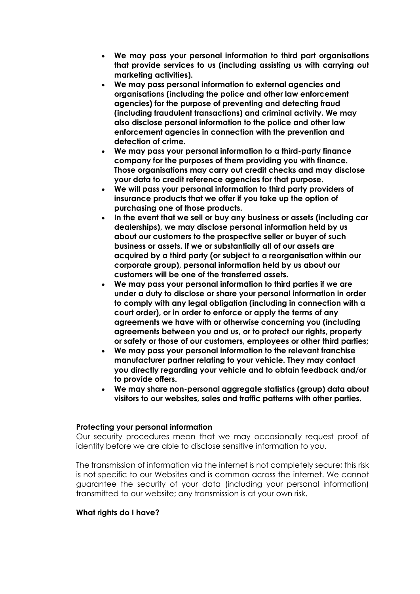- **We may pass your personal information to third part organisations that provide services to us (including assisting us with carrying out marketing activities).**
- **We may pass personal information to external agencies and organisations (including the police and other law enforcement agencies) for the purpose of preventing and detecting fraud (including fraudulent transactions) and criminal activity. We may also disclose personal information to the police and other law enforcement agencies in connection with the prevention and detection of crime.**
- **We may pass your personal information to a third-party finance company for the purposes of them providing you with finance. Those organisations may carry out credit checks and may disclose your data to credit reference agencies for that purpose.**
- **We will pass your personal information to third party providers of insurance products that we offer if you take up the option of purchasing one of those products.**
- **In the event that we sell or buy any business or assets (including car dealerships), we may disclose personal information held by us about our customers to the prospective seller or buyer of such business or assets. If we or substantially all of our assets are acquired by a third party (or subject to a reorganisation within our corporate group), personal information held by us about our customers will be one of the transferred assets.**
- **We may pass your personal information to third parties if we are under a duty to disclose or share your personal information in order to comply with any legal obligation (including in connection with a court order), or in order to enforce or apply the terms of any agreements we have with or otherwise concerning you (including agreements between you and us, or to protect our rights, property or safety or those of our customers, employees or other third parties;**
- **We may pass your personal information to the relevant franchise manufacturer partner relating to your vehicle. They may contact you directly regarding your vehicle and to obtain feedback and/or to provide offers.**
- **We may share non-personal aggregate statistics (group) data about visitors to our websites, sales and traffic patterns with other parties.**

# **Protecting your personal information**

Our security procedures mean that we may occasionally request proof of identity before we are able to disclose sensitive information to you.

The transmission of information via the internet is not completely secure; this risk is not specific to our Websites and is common across the internet. We cannot guarantee the security of your data (including your personal information) transmitted to our website; any transmission is at your own risk.

# **What rights do I have?**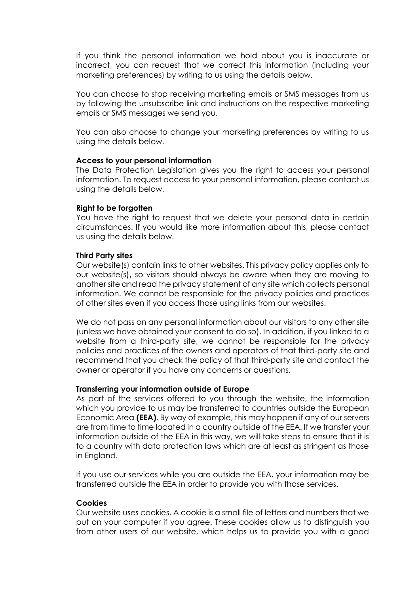If you think the personal information we hold about you is inaccurate or incorrect, you can request that we correct this information (including your marketing preferences) by writing to us using the details below.

You can choose to stop receiving marketing emails or SMS messages from us by following the unsubscribe link and instructions on the respective marketing emails or SMS messages we send you.

You can also choose to change your marketing preferences by writing to us using the details below.

#### **Access to your personal information**

The Data Protection Legislation gives you the right to access your personal information. To request access to your personal information, please contact us using the details below.

#### **Right to be forgotten**

You have the right to request that we delete your personal data in certain circumstances. If you would like more information about this, please contact us using the details below.

#### **Third Party sites**

Our website(s) contain links to other websites. This privacy policy applies only to our website(s), so visitors should always be aware when they are moving to another site and read the privacy statement of any site which collects personal information. We cannot be responsible for the privacy policies and practices of other sites even if you access those using links from our websites.

We do not pass on any personal information about our visitors to any other site (unless we have obtained your consent to do so). In addition, if you linked to a website from a third-party site, we cannot be responsible for the privacy policies and practices of the owners and operators of that third-party site and recommend that you check the policy of that third-party site and contact the owner or operator if you have any concerns or questions.

#### **Transferring your information outside of Europe**

As part of the services offered to you through the website, the information which you provide to us may be transferred to countries outside the European Economic Area **(EEA)**. By way of example, this may happen if any of our servers are from time to time located in a country outside of the EEA. If we transfer your information outside of the EEA in this way, we will take steps to ensure that it is to a country with data protection laws which are at least as stringent as those in England.

If you use our services while you are outside the EEA, your information may be transferred outside the EEA in order to provide you with those services.

# **Cookies**

Our website uses cookies. A cookie is a small file of letters and numbers that we put on your computer if you agree. These cookies allow us to distinguish you from other users of our website, which helps us to provide you with a good